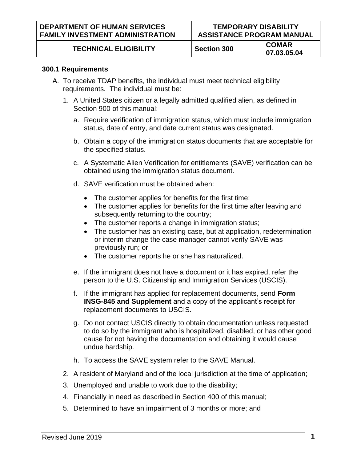**TECHNICAL ELIGIBILITY Section 300 COMAR 07.03.05.04**

## **300.1 Requirements**

- A. To receive TDAP benefits, the individual must meet technical eligibility requirements. The individual must be:
	- 1. A United States citizen or a legally admitted qualified alien, as defined in Section 900 of this manual:
		- a. Require verification of immigration status, which must include immigration status, date of entry, and date current status was designated.
		- b. Obtain a copy of the immigration status documents that are acceptable for the specified status.
		- c. A Systematic Alien Verification for entitlements (SAVE) verification can be obtained using the immigration status document.
		- d. SAVE verification must be obtained when:
			- The customer applies for benefits for the first time;
			- The customer applies for benefits for the first time after leaving and subsequently returning to the country;
			- The customer reports a change in immigration status;
			- The customer has an existing case, but at application, redetermination or interim change the case manager cannot verify SAVE was previously run; or
			- The customer reports he or she has naturalized.
		- e. If the immigrant does not have a document or it has expired, refer the person to the U.S. Citizenship and Immigration Services (USCIS).
		- f. If the immigrant has applied for replacement documents, send **Form INSG-845 and Supplement** and a copy of the applicant's receipt for replacement documents to USCIS.
		- g. Do not contact USCIS directly to obtain documentation unless requested to do so by the immigrant who is hospitalized, disabled, or has other good cause for not having the documentation and obtaining it would cause undue hardship.
		- h. To access the SAVE system refer to the SAVE Manual.
	- 2. A resident of Maryland and of the local jurisdiction at the time of application;
	- 3. Unemployed and unable to work due to the disability;
	- 4. Financially in need as described in Section 400 of this manual;
	- 5. Determined to have an impairment of 3 months or more; and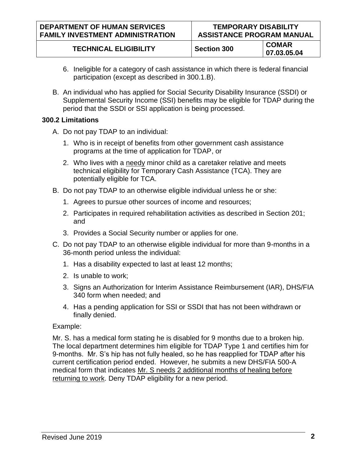| <b>DEPARTMENT OF HUMAN SERVICES</b>     | <b>TEMPORARY DISABILITY</b>      |                             |
|-----------------------------------------|----------------------------------|-----------------------------|
| <b>FAMILY INVESTMENT ADMINISTRATION</b> | <b>ASSISTANCE PROGRAM MANUAL</b> |                             |
| <b>TECHNICAL ELIGIBILITY</b>            | <b>Section 300</b>               | <b>COMAR</b><br>07.03.05.04 |

- 6. Ineligible for a category of cash assistance in which there is federal financial participation (except as described in 300.1.B).
- B. An individual who has applied for Social Security Disability Insurance (SSDI) or Supplemental Security Income (SSI) benefits may be eligible for TDAP during the period that the SSDI or SSI application is being processed.

# **300.2 Limitations**

- A. Do not pay TDAP to an individual:
	- 1. Who is in receipt of benefits from other government cash assistance programs at the time of application for TDAP, or
	- 2. Who lives with a needy minor child as a caretaker relative and meets technical eligibility for Temporary Cash Assistance (TCA). They are potentially eligible for TCA.
- B. Do not pay TDAP to an otherwise eligible individual unless he or she:
	- 1. Agrees to pursue other sources of income and resources;
	- 2. Participates in required rehabilitation activities as described in Section 201; and
	- 3. Provides a Social Security number or applies for one.
- C. Do not pay TDAP to an otherwise eligible individual for more than 9-months in a 36-month period unless the individual:
	- 1. Has a disability expected to last at least 12 months;
	- 2. Is unable to work;
	- 3. Signs an Authorization for Interim Assistance Reimbursement (IAR), DHS/FIA 340 form when needed; and
	- 4. Has a pending application for SSI or SSDI that has not been withdrawn or finally denied.

## Example:

Mr. S. has a medical form stating he is disabled for 9 months due to a broken hip. The local department determines him eligible for TDAP Type 1 and certifies him for 9-months. Mr. S's hip has not fully healed, so he has reapplied for TDAP after his current certification period ended. However, he submits a new DHS/FIA 500-A medical form that indicates Mr. S needs 2 additional months of healing before returning to work. Deny TDAP eligibility for a new period.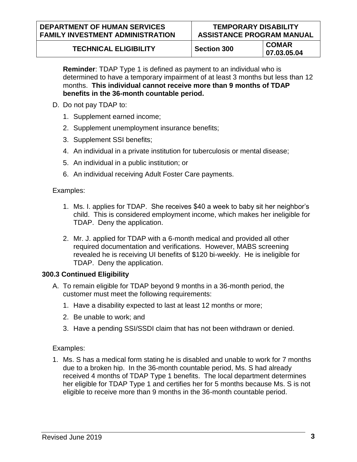**TECHNICAL ELIGENTS**<br> **TECHNICAL ELIGENTS 07.03.05.04**

**Reminder**: TDAP Type 1 is defined as payment to an individual who is determined to have a temporary impairment of at least 3 months but less than 12 months. **This individual cannot receive more than 9 months of TDAP benefits in the 36-month countable period.** 

- D. Do not pay TDAP to:
	- 1. Supplement earned income;
	- 2. Supplement unemployment insurance benefits;
	- 3. Supplement SSI benefits;
	- 4. An individual in a private institution for tuberculosis or mental disease;
	- 5. An individual in a public institution; or
	- 6. An individual receiving Adult Foster Care payments.

## Examples:

- 1. Ms. I. applies for TDAP. She receives \$40 a week to baby sit her neighbor's child. This is considered employment income, which makes her ineligible for TDAP. Deny the application.
- 2. Mr. J. applied for TDAP with a 6-month medical and provided all other required documentation and verifications. However, MABS screening revealed he is receiving UI benefits of \$120 bi-weekly. He is ineligible for TDAP. Deny the application.

## **300.3 Continued Eligibility**

- A. To remain eligible for TDAP beyond 9 months in a 36-month period, the customer must meet the following requirements:
	- 1. Have a disability expected to last at least 12 months or more;
	- 2. Be unable to work; and
	- 3. Have a pending SSI/SSDI claim that has not been withdrawn or denied.

## Examples:

1. Ms. S has a medical form stating he is disabled and unable to work for 7 months due to a broken hip. In the 36-month countable period, Ms. S had already received 4 months of TDAP Type 1 benefits. The local department determines her eligible for TDAP Type 1 and certifies her for 5 months because Ms. S is not eligible to receive more than 9 months in the 36-month countable period.